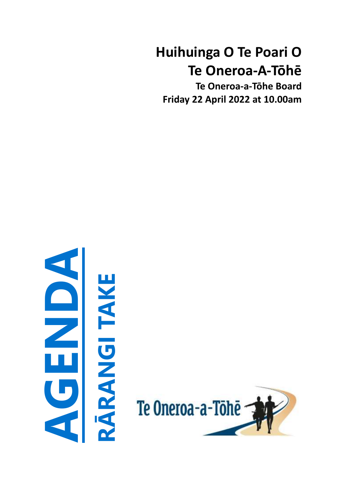# **Huihuinga O Te Poari O Te Oneroa-A-Tōhē**

**Te Oneroa-a-Tōhe Board Friday 22 April 2022 at 10.00am**



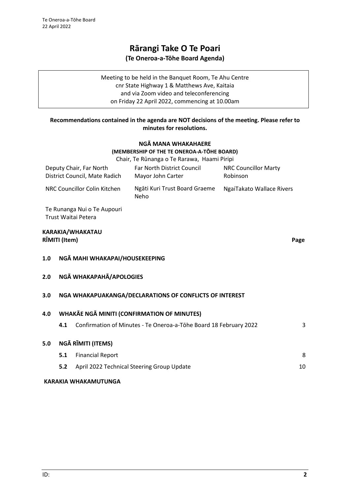# **Rārangi Take O Te Poari (Te Oneroa-a-Tōhe Board Agenda)**

Meeting to be held in the Banquet Room, Te Ahu Centre cnr State Highway 1 & Matthews Ave, Kaitaia and via Zoom video and teleconferencing on Friday 22 April 2022, commencing at 10.00am

# **Recommendations contained in the agenda are NOT decisions of the meeting. Please refer to minutes for resolutions.**

# **NGĀ MANA WHAKAHAERE (MEMBERSHIP OF THE TE ONEROA-A-TŌHE BOARD)**

|                                                    |                                                   |                                                          | Chair, Te Rūnanga o Te Rarawa, Haami Piripi                       |                                         |      |  |  |
|----------------------------------------------------|---------------------------------------------------|----------------------------------------------------------|-------------------------------------------------------------------|-----------------------------------------|------|--|--|
|                                                    |                                                   | Deputy Chair, Far North<br>District Council, Mate Radich | <b>Far North District Council</b><br>Mayor John Carter            | <b>NRC Councillor Marty</b><br>Robinson |      |  |  |
|                                                    |                                                   | NRC Councillor Colin Kitchen                             | Ngāti Kuri Trust Board Graeme<br>Neho                             | NgaiTakato Wallace Rivers               |      |  |  |
|                                                    |                                                   | Te Runanga Nui o Te Aupouri<br>Trust Waitai Petera       |                                                                   |                                         |      |  |  |
|                                                    | RĪMITI (Item)                                     | KARAKIA/WHAKATAU                                         |                                                                   |                                         | Page |  |  |
| 1.0                                                |                                                   | NGĀ MAHI WHAKAPAI/HOUSEKEEPING                           |                                                                   |                                         |      |  |  |
| 2.0                                                |                                                   | NGĀ WHAKAPAHĀ/APOLOGIES                                  |                                                                   |                                         |      |  |  |
| 3.0                                                |                                                   |                                                          | NGA WHAKAPUAKANGA/DECLARATIONS OF CONFLICTS OF INTEREST           |                                         |      |  |  |
| WHAKĀE NGĀ MINITI (CONFIRMATION OF MINUTES)<br>4.0 |                                                   |                                                          |                                                                   |                                         |      |  |  |
|                                                    | 4.1                                               |                                                          | Confirmation of Minutes - Te Oneroa-a-Tōhe Board 18 February 2022 |                                         | 3    |  |  |
| 5.0                                                |                                                   | NGĀ RĪMITI (ITEMS)                                       |                                                                   |                                         |      |  |  |
|                                                    | 5.1                                               | <b>Financial Report</b>                                  |                                                                   |                                         | 8    |  |  |
|                                                    | 5.2<br>April 2022 Technical Steering Group Update |                                                          |                                                                   |                                         |      |  |  |
|                                                    |                                                   |                                                          |                                                                   |                                         |      |  |  |

# **KARAKIA WHAKAMUTUNGA**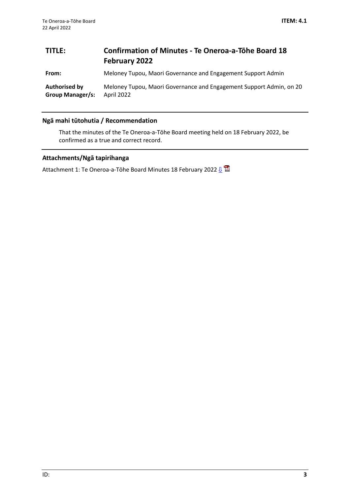# <span id="page-2-0"></span>**TITLE: Confirmation of Minutes - Te Oneroa-a-Tōhe Board 18 February 2022**

**From:** Meloney Tupou, Maori Governance and Engagement Support Admin

**Authorised by Group Manager/s:** Meloney Tupou, Maori Governance and Engagement Support Admin, on 20 April 2022

# **Ngā mahi tūtohutia / Recommendation**

That the minutes of the Te Oneroa-a-Tōhe Board meeting held on 18 February 2022, be confirmed as a true and correct record.

# **Attachments/Ngā tapirihanga**

Attachment 1: Te Oneroa-a-Tōhe Board Minutes 18 February 2022  $\frac{1}{2}$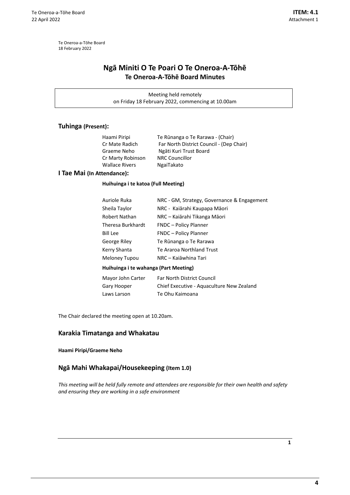# <span id="page-3-0"></span>**Ngā Miniti O Te Poari O Te Oneroa-A-Tōhē Te Oneroa-A-Tōhē Board Minutes**

Meeting held remotely on Friday 18 February 2022, commencing at 10.00am

# **Tuhinga (Present):**

| Haami Piripi      | Te Rūnanga o Te Rarawa - (Chair)         |
|-------------------|------------------------------------------|
| Cr Mate Radich    | Far North District Council - (Dep Chair) |
| Graeme Neho       | Ngāti Kuri Trust Board                   |
| Cr Marty Robinson | <b>NRC Councillor</b>                    |
| Wallace Rivers    | NgaiTakato                               |
|                   |                                          |

#### **I Tae Mai (In Attendance):**

#### **Huihuinga i te katoa (Full Meeting)**

| Huihuinga i te wahanga (Part Meeting) |                                             |  |  |  |  |  |
|---------------------------------------|---------------------------------------------|--|--|--|--|--|
| Meloney Tupou                         | NRC – Kajāwhina Tari                        |  |  |  |  |  |
| Kerry Shanta                          | Te Araroa Northland Trust                   |  |  |  |  |  |
| George Riley                          | Te Rūnanga o Te Rarawa                      |  |  |  |  |  |
| <b>Bill Lee</b>                       | <b>FNDC</b> – Policy Planner                |  |  |  |  |  |
| Theresa Burkhardt                     | <b>FNDC</b> – Policy Planner                |  |  |  |  |  |
| Robert Nathan                         | NRC – Kaiārahi Tikanga Māori                |  |  |  |  |  |
| Sheila Taylor                         | NRC - Kaiārahi Kaupapa Māori                |  |  |  |  |  |
| Auriole Ruka                          | NRC - GM, Strategy, Governance & Engagement |  |  |  |  |  |

| Mayor John Carter | Far North District Council                |
|-------------------|-------------------------------------------|
| Gary Hooper       | Chief Executive - Aguaculture New Zealand |
| Laws Larson       | Te Ohu Kaimoana                           |

The Chair declared the meeting open at 10.20am.

# **Karakia Timatanga and Whakatau**

#### **Haami Piripi/Graeme Neho**

# **Ngā Mahi Whakapai/Housekeeping (Item 1.0)**

*This meeting will be held fully remote and attendees are responsible for their own health and safety and ensuring they are working in a safe environment*

**1**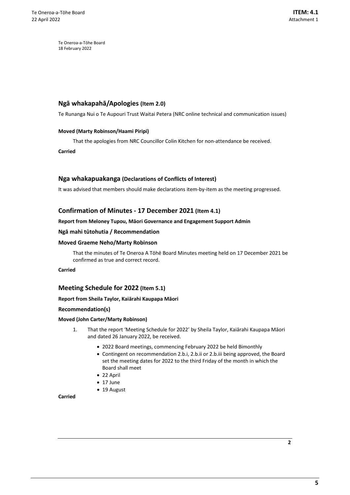# **Ngā whakapahā/Apologies (Item 2.0)**

Te Runanga Nui o Te Aupouri Trust Waitai Petera (NRC online technical and communication issues)

#### **Moved (Marty Robinson/Haami Piripi)**

That the apologies from NRC Councillor Colin Kitchen for non-attendance be received.

**Carried**

#### **Nga whakapuakanga (Declarations of Conflicts of Interest)**

It was advised that members should make declarations item-by-item as the meeting progressed.

#### **Confirmation of Minutes - 17 December 2021 (Item 4.1)**

#### **Report from Meloney Tupou, Māori Governance and Engagement Support Admin**

#### **Ngā mahi tūtohutia / Recommendation**

#### **Moved Graeme Neho/Marty Robinson**

That the minutes of Te Oneroa A Tōhē Board Minutes meeting held on 17 December 2021 be confirmed as true and correct record.

#### **Carried**

#### **Meeting Schedule for 2022 (Item 5.1)**

#### **Report from Sheila Taylor, Kaiārahi Kaupapa Māori**

#### **Recommendation(s)**

#### **Moved (John Carter/Marty Robinson)**

- 1. That the report 'Meeting Schedule for 2022' by Sheila Taylor, Kaiārahi Kaupapa Māori and dated 26 January 2022, be received.
	- 2022 Board meetings, commencing February 2022 be held Bimonthly
	- Contingent on recommendation 2.b.i, 2.b.ii or 2.b.iii being approved, the Board set the meeting dates for 2022 to the third Friday of the month in which the Board shall meet
	- 22 April
	- 17 June
	- 19 August

#### **Carried**

**2**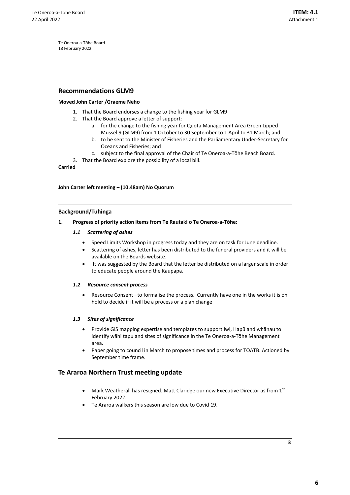#### **Recommendations GLM9**

#### **Moved John Carter /Graeme Neho**

- 1. That the Board endorses a change to the fishing year for GLM9
- 2. That the Board approve a letter of support:
	- a. for the change to the fishing year for Quota Management Area Green Lipped Mussel 9 (GLM9) from 1 October to 30 September to 1 April to 31 March; and
	- b. to be sent to the Minister of Fisheries and the Parliamentary Under-Secretary for Oceans and Fisheries; and
	- c. subject to the final approval of the Chair of Te Oneroa-a-Tōhe Beach Board.
- 3. That the Board explore the possibility of a local bill.

#### **Carried**

#### **John Carter left meeting – (10.48am) No Quorum**

#### **Background/Tuhinga**

#### **1. Progress of priority action items from Te Rautaki o Te Oneroa-a-Tōhe:**

#### *1.1 Scattering of ashes*

- Speed Limits Workshop in progress today and they are on task for June deadline.
- Scattering of ashes, letter has been distributed to the funeral providers and it will be available on the Boards website.
- It was suggested by the Board that the letter be distributed on a larger scale in order to educate people around the Kaupapa.

#### *1.2 Resource consent process*

• Resource Consent –to formalise the process. Currently have one in the works it is on hold to decide if it will be a process or a plan change

#### *1.3 Sites of significance*

- Provide GIS mapping expertise and templates to support Iwi, Hapū and whānau to identify wāhi tapu and sites of significance in the Te Oneroa-a-Tōhe Management area.
- Paper going to council in March to propose times and process for TOATB. Actioned by September time frame.

#### **Te Araroa Northern Trust meeting update**

- Mark Weatherall has resigned. Matt Claridge our new Executive Director as from 1<sup>st</sup> February 2022.
- Te Araroa walkers this season are low due to Covid 19.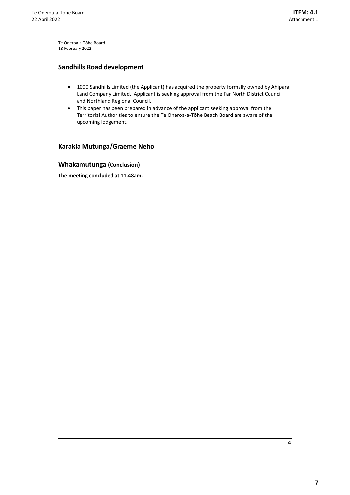# **Sandhills Road development**

- 1000 Sandhills Limited (the Applicant) has acquired the property formally owned by Ahipara Land Company Limited. Applicant is seeking approval from the Far North District Council and Northland Regional Council.
- This paper has been prepared in advance of the applicant seeking approval from the Territorial Authorities to ensure the Te Oneroa-a-Tōhe Beach Board are aware of the upcoming lodgement.

# **Karakia Mutunga/Graeme Neho**

# **Whakamutunga (Conclusion)**

**The meeting concluded at 11.48am.**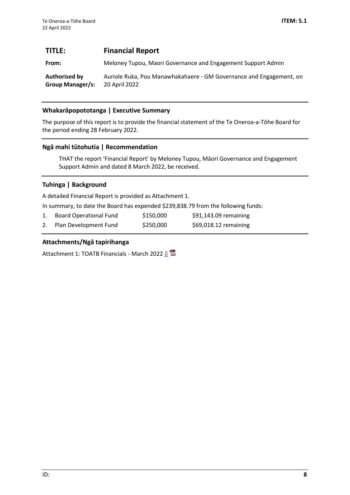# <span id="page-7-0"></span>**TITLE: Financial Report**

**From:** Meloney Tupou, Maori Governance and Engagement Support Admin

**Authorised by Group Manager/s:** Auriole Ruka, Pou Manawhakahaere - GM Governance and Engagement, on 20 April 2022

# **Whakarāpopototanga | Executive Summary**

The purpose of this report is to provide the financial statement of the Te Oneroa-a-Tōhe Board for the period ending 28 February 2022.

# **Ngā mahi tūtohutia | Recommendation**

THAT the report 'Financial Report' by Meloney Tupou, Māori Governance and Engagement Support Admin and dated 8 March 2022, be received.

# **Tuhinga | Background**

A detailed Financial Report is provided as Attachment 1.

In summary, to date the Board has expended \$239,838.79 from the following funds:

1. Board Operational Fund \$150,000 \$91,143.09 remaining 2. Plan Development Fund \$250,000 \$69,018.12 remaining

# **Attachments/Ngā tapirihanga**

Attachment 1: TOATB Financials - March 2022 <u>U</u>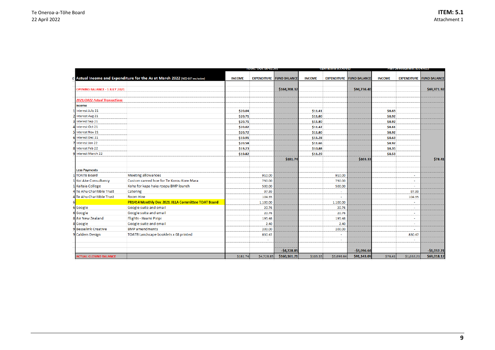<span id="page-8-0"></span>

|                                      |                                                                               | וכנש טטיקאן שמוטו |                                 |              |               |                  |                                 |               | $m$ , $m$ , $m$ , $m$              |              |
|--------------------------------------|-------------------------------------------------------------------------------|-------------------|---------------------------------|--------------|---------------|------------------|---------------------------------|---------------|------------------------------------|--------------|
|                                      | d Actual Income and Expenditure for the As at March 2022 (NZ\$ GST exclusive) | <b>INCOME</b>     | <b>EXPENDITURE FUND BALANCE</b> |              | <b>INCOME</b> |                  | <b>EXPENDITURE FUND BALANCE</b> | <b>INCOME</b> | <b>EXPENDITURE FUND BALANCE</b>    |              |
| <b>OPENING BALANCE - 1 JULY 2021</b> |                                                                               |                   |                                 | \$164,708.32 |               |                  | \$94,736.40                     |               |                                    | \$69,971.92  |
| 2021/2022 Actual Transactions        |                                                                               |                   |                                 |              |               |                  |                                 |               |                                    |              |
|                                      |                                                                               |                   |                                 |              |               |                  |                                 |               |                                    |              |
| Income<br>1 Interest July 21         |                                                                               | \$20.04           |                                 |              | \$11.41       |                  |                                 | \$8.63        |                                    |              |
| 2 Interest Aug 21                    |                                                                               | \$20.71           |                                 |              | \$11.80       |                  |                                 | \$8.92        |                                    |              |
| Interest Sep 21                      |                                                                               | \$20.71           |                                 |              | \$11.80       |                  |                                 | \$8.92        |                                    |              |
| Interest Oct 21                      |                                                                               | \$20.02           |                                 |              | \$11.42       |                  |                                 | \$8.61        |                                    |              |
| 5 Interest Nov 21                    |                                                                               | \$20.72           |                                 |              | \$11.80       |                  |                                 | \$8.92        |                                    |              |
| 6 Interest Dec 21                    |                                                                               | \$19.91           |                                 |              | \$11.28       |                  |                                 | \$8.63        |                                    |              |
| 7 Interest Jan 22                    |                                                                               | \$20.58           |                                 |              | \$11.66       |                  |                                 | \$8.92        |                                    |              |
| 8 Interest Feb 22                    |                                                                               | \$19.23           |                                 |              | \$10.88       |                  |                                 | \$8.35        |                                    |              |
| 9 Interest March 22                  |                                                                               | \$19.82           |                                 |              | \$11.29       |                  |                                 | \$8.53        |                                    |              |
|                                      |                                                                               |                   |                                 | \$181.74     |               |                  | \$103.33                        |               |                                    | \$78.41      |
| <b>Less Payments</b>                 |                                                                               |                   |                                 |              |               |                  |                                 |               |                                    |              |
| 1 TOATB Board                        | <b>Meeting allowances</b>                                                     |                   | 910.00                          |              |               | 910.00           |                                 |               | ×                                  |              |
| 1 Koi Ake Consultancy                | Custom carved hoe for Te Korou Kore Mara                                      |                   | 750.00                          |              |               | 750.00           |                                 |               |                                    |              |
| 1 Kaitaia College                    | Koha for kapa haka roopu BMP launch                                           |                   | 500.00                          |              |               | 500.00           |                                 |               |                                    |              |
| 4 Te Ahu Charitible Trust            | Catering                                                                      |                   | 97.39                           |              |               | $\sim$           |                                 |               | 97.39                              |              |
| 4 Te Ahu Charitible Trust            | <b>Room Hire</b>                                                              |                   | 104.35                          |              |               |                  |                                 |               | 104.35                             |              |
|                                      | PR1414 Monthly Dec 2021 JILLA Committee TOAT Board                            |                   | 1,100.00                        |              |               | 1,100.00         |                                 |               |                                    |              |
| 6 Google                             | Google suite and email                                                        |                   | 20.76                           |              |               | 20.76            |                                 |               | $\sim$                             |              |
| 6 Google                             | Google suite and email                                                        |                   | 20.76                           |              |               | 20.76            |                                 |               | ×                                  |              |
| 8 Air New Zealand                    | Flights - Haami Piripi                                                        |                   | 195.48                          |              |               | 195.48           |                                 |               | $\sim$                             |              |
| 8 Google                             | Google suite and email                                                        |                   | 2.40                            |              |               | 2.40             |                                 |               | $\overline{\phantom{a}}$           |              |
| 9 Besselink Creative                 | <b>BMP</b> amendments                                                         |                   | 200.00                          |              |               | 200.00           |                                 |               |                                    |              |
| 9 Calders Design                     | TOATB Landscape booklets x 68 printed                                         |                   | 830.47<br>$\sim$                |              |               | $\sim$<br>$\sim$ |                                 |               | 830.47<br>$\overline{\phantom{a}}$ |              |
|                                      |                                                                               |                   |                                 |              |               |                  |                                 |               |                                    |              |
|                                      |                                                                               |                   |                                 | $-$4,728.85$ |               |                  | $-$3,696.64$                    |               |                                    | $-$1,032.21$ |
| <b>ACTUAL CLOSING BALANCE</b>        |                                                                               | \$181.74          | \$4,728.85                      | \$160,161.21 | \$103.33      | \$3,696.64       | \$91,143.09                     | \$78.41       | \$1,032.21                         | \$69,018.12  |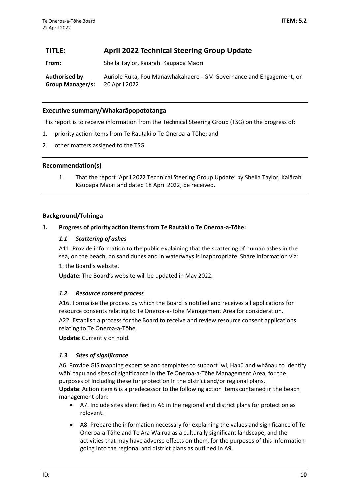# <span id="page-9-0"></span>**TITLE: April 2022 Technical Steering Group Update**

**From:** Sheila Taylor, Kaiārahi Kaupapa Māori

**Authorised by Group Manager/s:** Auriole Ruka, Pou Manawhakahaere - GM Governance and Engagement, on 20 April 2022

# **Executive summary/Whakarāpopototanga**

This report is to receive information from the Technical Steering Group (TSG) on the progress of:

- 1. priority action items from Te Rautaki o Te Oneroa-a-Tōhe; and
- 2. other matters assigned to the TSG.

# **Recommendation(s)**

1. That the report 'April 2022 Technical Steering Group Update' by Sheila Taylor, Kaiārahi Kaupapa Māori and dated 18 April 2022, be received.

# **Background/Tuhinga**

## **1. Progress of priority action items from Te Rautaki o Te Oneroa-a-Tōhe:**

# *1.1 Scattering of ashes*

A11. Provide information to the public explaining that the scattering of human ashes in the sea, on the beach, on sand dunes and in waterways is inappropriate. Share information via: 1. the Board's website.

**Update:** The Board's website will be updated in May 2022.

## *1.2 Resource consent process*

A16. Formalise the process by which the Board is notified and receives all applications for resource consents relating to Te Oneroa-a-Tōhe Management Area for consideration.

A22. Establish a process for the Board to receive and review resource consent applications relating to Te Oneroa-a-Tōhe.

**Update:** Currently on hold.

## *1.3 Sites of significance*

A6. Provide GIS mapping expertise and templates to support Iwi, Hapū and whānau to identify wāhi tapu and sites of significance in the Te Oneroa-a-Tōhe Management Area, for the purposes of including these for protection in the district and/or regional plans. **Update:** Action item 6 is a predecessor to the following action items contained in the beach management plan:

- A7. Include sites identified in A6 in the regional and district plans for protection as relevant.
- A8. Prepare the information necessary for explaining the values and significance of Te Oneroa-a-Tōhe and Te Ara Wairua as a culturally significant landscape, and the activities that may have adverse effects on them, for the purposes of this information going into the regional and district plans as outlined in A9.